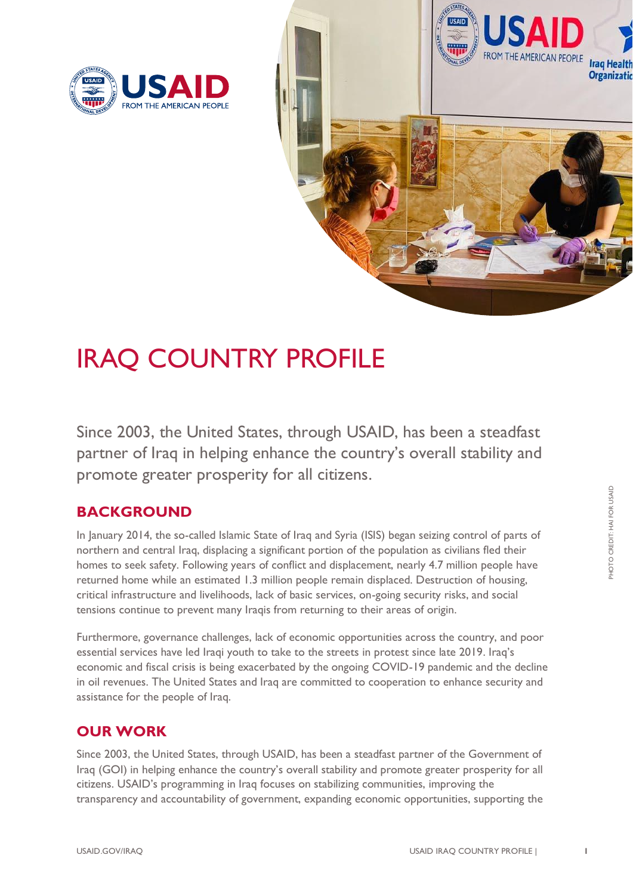



# IRAQ COUNTRY PROFILE

Since 2003, the United States, through USAID, has been a steadfast partner of Iraq in helping enhance the country's overall stability and promote greater prosperity for all citizens.

# **BACKGROUND**

In January 2014, the so-called Islamic State of Iraq and Syria (ISIS) began seizing control of parts of northern and central Iraq, displacing a significant portion of the population as civilians fled their homes to seek safety. Following years of conflict and displacement, nearly 4.7 million people have returned home while an estimated 1.3 million people remain displaced. Destruction of housing, critical infrastructure and livelihoods, lack of basic services, on-going security risks, and social tensions continue to prevent many Iraqis from returning to their areas of origin.

Furthermore, governance challenges, lack of economic opportunities across the country, and poor essential services have led Iraqi youth to take to the streets in protest since late 2019. Iraq's economic and fiscal crisis is being exacerbated by the ongoing COVID-19 pandemic and the decline in oil revenues. The United States and Iraq are committed to cooperation to enhance security and assistance for the people of Iraq.

# **OUR WORK**

Since 2003, the United States, through USAID, has been a steadfast partner of the Government of Iraq (GOI) in helping enhance the country's overall stability and promote greater prosperity for all citizens. USAID's programming in Iraq focuses on stabilizing communities, improving the transparency and accountability of government, expanding economic opportunities, supporting the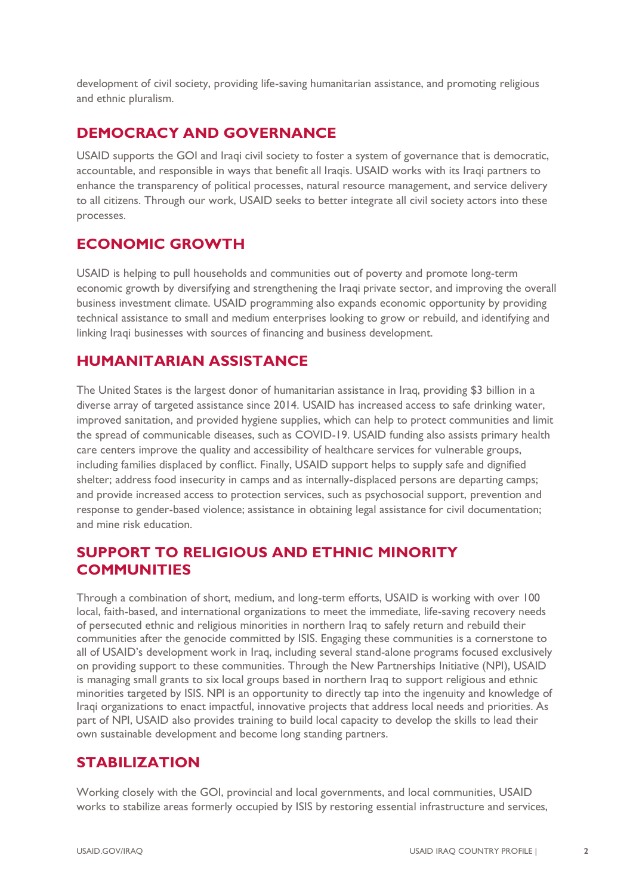development of civil society, providing life-saving humanitarian assistance, and promoting religious and ethnic pluralism.

### **DEMOCRACY AND GOVERNANCE**

USAID supports the GOI and Iraqi civil society to foster a system of governance that is democratic, accountable, and responsible in ways that benefit all Iraqis. USAID works with its Iraqi partners to enhance the transparency of political processes, natural resource management, and service delivery to all citizens. Through our work, USAID seeks to better integrate all civil society actors into these processes.

### **ECONOMIC GROWTH**

USAID is helping to pull households and communities out of poverty and promote long-term economic growth by diversifying and strengthening the Iraqi private sector, and improving the overall business investment climate. USAID programming also expands economic opportunity by providing technical assistance to small and medium enterprises looking to grow or rebuild, and identifying and linking Iraqi businesses with sources of financing and business development.

### **HUMANITARIAN ASSISTANCE**

The United States is the largest donor of humanitarian assistance in Iraq, providing \$3 billion in a diverse array of targeted assistance since 2014. USAID has increased access to safe drinking water, improved sanitation, and provided hygiene supplies, which can help to protect communities and limit the spread of communicable diseases, such as COVID-19. USAID funding also assists primary health care centers improve the quality and accessibility of healthcare services for vulnerable groups, including families displaced by conflict. Finally, USAID support helps to supply safe and dignified shelter; address food insecurity in camps and as internally-displaced persons are departing camps; and provide increased access to protection services, such as psychosocial support, prevention and response to gender-based violence; assistance in obtaining legal assistance for civil documentation; and mine risk education.

#### **SUPPORT TO RELIGIOUS AND ETHNIC MINORITY COMMUNITIES**

Through a combination of short, medium, and long-term efforts, USAID is working with over 100 local, faith-based, and international organizations to meet the immediate, life-saving recovery needs of persecuted ethnic and religious minorities in northern Iraq to safely return and rebuild their communities after the genocide committed by ISIS. Engaging these communities is a cornerstone to all of USAID's development work in Iraq, including several stand-alone programs focused exclusively on providing support to these communities. Through the New Partnerships Initiative (NPI), USAID is managing small grants to six local groups based in northern Iraq to support religious and ethnic minorities targeted by ISIS. NPI is an opportunity to directly tap into the ingenuity and knowledge of Iraqi organizations to enact impactful, innovative projects that address local needs and priorities. As part of NPI, USAID also provides training to build local capacity to develop the skills to lead their own sustainable development and become long standing partners.

#### **STABILIZATION**

Working closely with the GOI, provincial and local governments, and local communities, USAID works to stabilize areas formerly occupied by ISIS by restoring essential infrastructure and services,